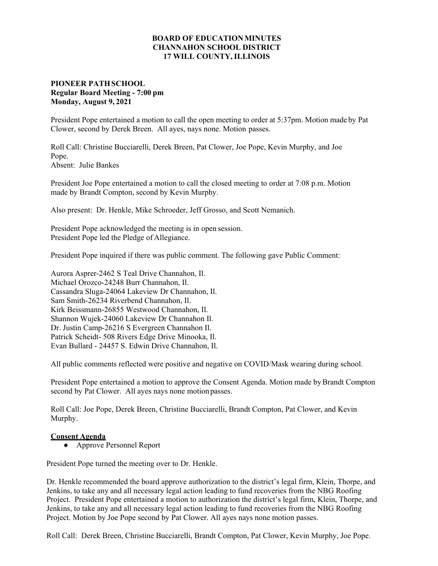## **BOARD OF EDUCATION MINUTES CHANNAHON SCHOOL DISTRICT 17 WILL COUNTY, ILLINOIS**

## **PIONEER PATH SCHOOL Regular Board Meeting - 7:00 pm Monday, August 9, 2021**

President Pope entertained a motion to call the open meeting to order at 5:37pm. Motion made by Pat Clower, second by Derek Breen. All ayes, nays none. Motion passes.

Roll Call: Christine Bucciarelli, Derek Breen, Pat Clower, Joe Pope, Kevin Murphy, and Joe Pope.

Absent: Julie Bankes

President Joe Pope entertained a motion to call the closed meeting to order at 7:08 p.m. Motion made by Brandt Compton, second by Kevin Murphy.

Also present: Dr. Henkle, Mike Schroeder, Jeff Grosso, and Scott Nemanich.

President Pope acknowledged the meeting is in open session. President Pope led the Pledge of Allegiance.

President Pope inquired if there was public comment. The following gave Public Comment:

Aurora Asprer-2462 S Teal Drive Channahon, Il. Michael Orozco-24248 Burr Channahon, Il. Cassandra Sluga-24064 Lakeview Dr Channahon, Il. Sam Smith-26234 Riverbend Channahon, Il. Kirk Beissmann-26855 Westwood Channahon, Il. Shannon Wujek-24060 Lakeview Dr Channahon Il. Dr. Justin Camp-26216 S Evergreen Channahon Il. Patrick Scheidt- 508 Rivers Edge Drive Minooka, Il. Evan Bullard - 24457 S. Edwin Drive Channahon, Il.

All public comments reflected were positive and negative on COVID/Mask wearing during school.

President Pope entertained a motion to approve the Consent Agenda. Motion made by Brandt Compton second by Pat Clower. All ayes nays none motion passes.

Roll Call: Joe Pope, Derek Breen, Christine Bucciarelli, Brandt Compton, Pat Clower, and Kevin Murphy.

## **Consent Agenda**

**●** Approve Personnel Report

President Pope turned the meeting over to Dr. Henkle.

Dr. Henkle recommended the board approve authorization to the district's legal firm, Klein, Thorpe, and Jenkins, to take any and all necessary legal action leading to fund recoveries from the NBG Roofing Project. President Pope entertained a motion to authorization the district's legal firm, Klein, Thorpe, and Jenkins, to take any and all necessary legal action leading to fund recoveries from the NBG Roofing Project. Motion by Joe Pope second by Pat Clower. All ayes nays none motion passes.

Roll Call: Derek Breen, Christine Bucciarelli, Brandt Compton, Pat Clower, Kevin Murphy, Joe Pope.